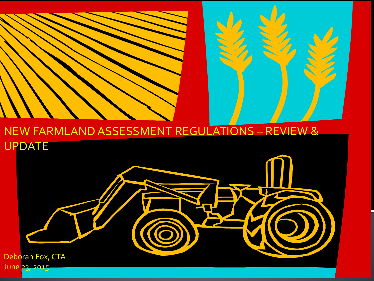#### NEW FARMLAND ASSESSMENT REGULATIONS – REVIEW & UPDATE

Deborah Fox, CTA June 23, 2015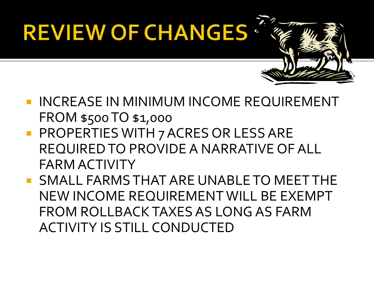# **REVIEW OF CHANGES**

- **INCREASE IN MINIMUM INCOME REQUIREMENT** FROM \$500 TO \$1,000
- **PROPERTIES WITH 7 ACRES OR LESS ARE** REQUIRED TO PROVIDE A NARRATIVE OF ALL FARM ACTIVITY
- SMALL FARMS THAT ARE UNABLE TO MEET THE NEW INCOME REQUIREMENT WILL BE EXEMPT FROM ROLLBACK TAXES AS LONG AS FARM ACTIVITY IS STILL CONDUCTED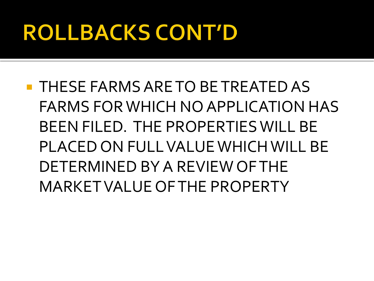## **ROLLBACKS CONT'D**

**THESE FARMS ARE TO BE TREATED AS** FARMS FOR WHICH NO APPLICATION HAS BEEN FILED. THE PROPERTIES WILL BE PLACED ON FULL VALUE WHICH WILL BE DETERMINED BY A REVIEW OF THE MARKET VALUE OF THE PROPERTY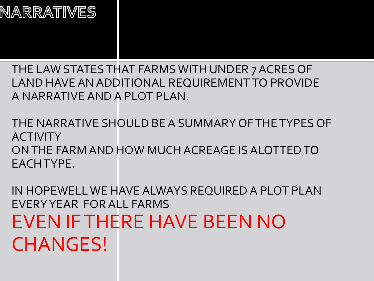### NARRATIVES

THE LAW STATES THAT FARMS WITH UNDER 7 ACRES OF LAND HAVE AN ADDITIONAL REQUIREMENT TO PROVIDE A NARRATIVE AND A PLOT PLAN.

THE NARRATIVE SHOULD BE A SUMMARY OF THE TYPES OF **ACTIVITY** ON THE FARM AND HOW MUCH ACREAGE IS ALOTTED TO EACH TYPE.

IN HOPEWELL WE HAVE ALWAYS REQUIRED A PLOT PLAN EVERY YEAR FOR ALL FARMS EVEN IF THERE HAVE BEEN NO CHANGES!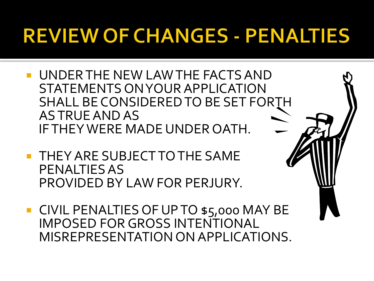### **REVIEW OF CHANGES - PENALTIES**

- UNDER THE NEW LAW THE FACTS AND STATEMENTS ON YOUR APPLICATION SHALL BE CONSIDERED TO BE SET FORTH AS TRUE AND AS IF THEY WERE MADE UNDER OATH.
- **THEY ARE SUBJECT TO THE SAME** PENALTIES AS PROVIDED BY LAW FOR PERJURY.
- **CIVIL PENALTIES OF UP TO \$5,000 MAY BE** IMPOSED FOR GROSS INTENTIONAL MISREPRESENTATION ON APPLICATIONS.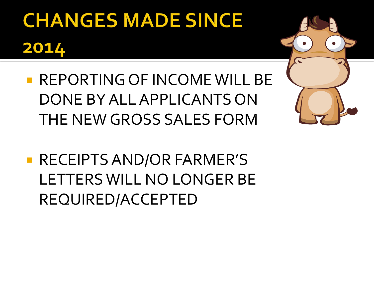# **CHANGES MADE SINCE** 2014

- **REPORTING OF INCOME WILL BE** DONE BY ALL APPLICANTS ON THE NEW GROSS SALES FORM
- **RECEIPTS AND/OR FARMER'S** LETTERS WILL NO LONGER BE REQUIRED/ACCEPTED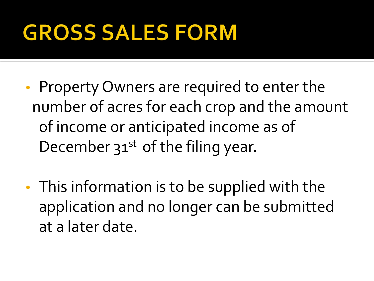## **GROSS SALES FORM**

- Property Owners are required to enter the number of acres for each crop and the amount of income or anticipated income as of December  $31^{st}$  of the filing year.
- This information is to be supplied with the application and no longer can be submitted at a later date.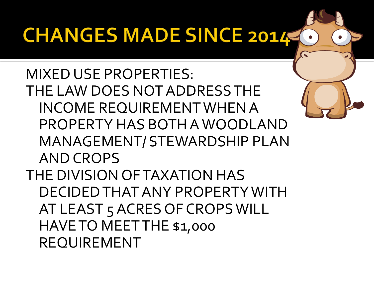### **CHANGES MADE SINCE 2014**

MIXED USE PROPERTIES: THE LAW DOES NOT ADDRESS THE INCOME REQUIREMENT WHEN A PROPERTY HAS BOTH A WOODLAND MANAGEMENT/ STEWARDSHIP PLAN AND CROPS THE DIVISION OF TAXATION HAS DECIDED THAT ANY PROPERTY WITH AT LEAST 5 ACRES OF CROPS WILL HAVE TO MEET THE \$1,000 REQUIREMENT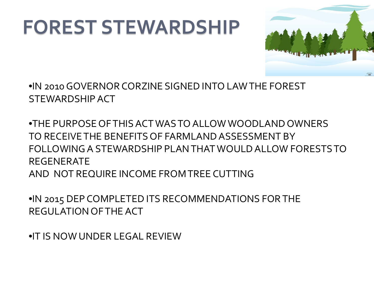### **FOREST STEWARDSHIP**



•IN 2010 GOVERNOR CORZINE SIGNED INTO LAW THE FOREST STEWARDSHIP ACT

•THE PURPOSE OF THIS ACT WAS TO ALLOW WOODLAND OWNERS TO RECEIVE THE BENEFITS OF FARMLAND ASSESSMENT BY FOLLOWING A STEWARDSHIP PLAN THAT WOULD ALLOW FORESTS TO REGENERATE AND NOT REQUIRE INCOME FROM TREE CUTTING

•IN 2015 DEP COMPLETED ITS RECOMMENDATIONS FOR THE REGULATION OF THE ACT

•IT IS NOW UNDER LEGAL REVIEW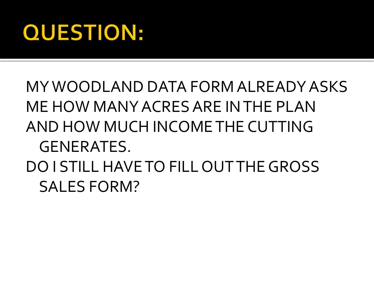### **QUESTION:**

### MY WOODLAND DATA FORM ALREADY ASKS ME HOW MANY ACRES ARE IN THE PLAN AND HOW MUCH INCOME THE CUTTING GENERATES. DO I STILL HAVE TO FILL OUT THE GROSS SALES FORM?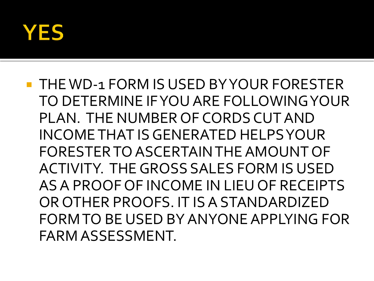

### **THE WD-1 FORM IS USED BY YOUR FORESTER** TO DETERMINE IF YOU ARE FOLLOWING YOUR PLAN. THE NUMBER OF CORDS CUT AND INCOME THAT IS GENERATED HELPS YOUR FORESTER TO ASCERTAIN THE AMOUNT OF ACTIVITY. THE GROSS SALES FORM IS USED AS A PROOF OF INCOME IN LIEU OF RECEIPTS OR OTHER PROOFS. IT IS A STANDARDIZED FORM TO BE USED BY ANYONE APPLYING FOR FARM ASSESSMENT.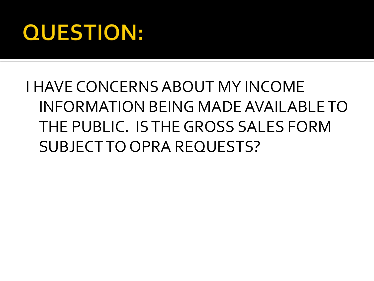### **QUESTION:**

### I HAVE CONCERNS ABOUT MY INCOME INFORMATION BEING MADE AVAILABLE TO THE PUBLIC. IS THE GROSS SALES FORM SUBJECT TO OPRA REQUESTS?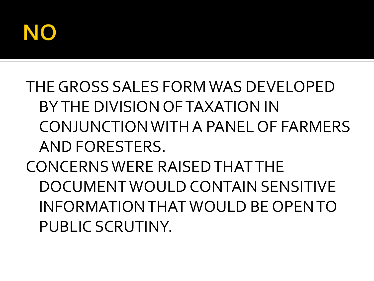

### THE GROSS SALES FORM WAS DEVELOPED BY THE DIVISION OF TAXATION IN CONJUNCTION WITH A PANEL OF FARMERS AND FORESTERS. CONCERNS WERE RAISED THAT THE DOCUMENT WOULD CONTAIN SENSITIVE INFORMATION THAT WOULD BE OPEN TO PUBLIC SCRUTINY.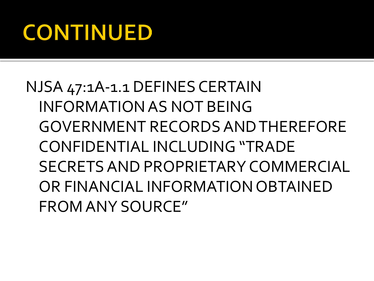## **CONTINUED**

NJSA 47:1A-1.1 DEFINES CERTAIN INFORMATION AS NOT BEING GOVERNMENT RECORDS AND THEREFORE CONFIDENTIAL INCLUDING "TRADE SECRETS AND PROPRIETARY COMMERCIAL OR FINANCIAL INFORMATION OBTAINED FROM ANY SOURCE"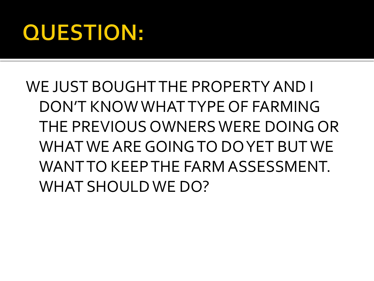### **QUESTION:**

### WE JUST BOUGHT THE PROPERTY AND I DON'T KNOW WHAT TYPE OF FARMING THE PREVIOUS OWNERS WERE DOING OR WHAT WE ARE GOING TO DO YET BUT WE WANT TO KEEP THE FARM ASSESSMENT. WHAT SHOULD WE DO?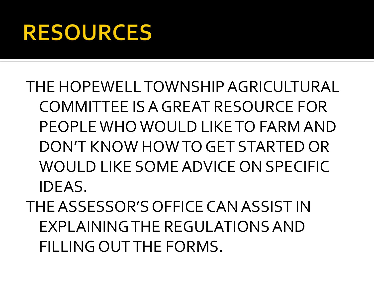### **RESOURCES**

THE HOPEWELL TOWNSHIP AGRICULTURAL COMMITTEE IS A GREAT RESOURCE FOR PEOPLE WHO WOULD LIKE TO FARM AND DON'T KNOW HOW TO GET STARTED OR WOULD LIKE SOME ADVICE ON SPECIFIC IDEAS.

THE ASSESSOR'S OFFICE CAN ASSIST IN EXPLAINING THE REGULATIONS AND FILLING OUT THE FORMS.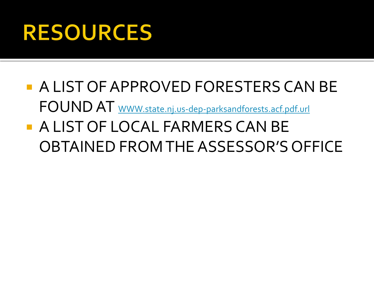## **RESOURCES**

- **A LIST OF APPROVED FORESTERS CAN BE** FOUND AT [WWW.state.nj.us-dep-parksandforests.acf.pdf.url](http://www.state.nj.us-dep-parksandforests.acf.pdf.url/)
- A LIST OF LOCAL FARMERS CAN BE OBTAINED FROM THE ASSESSOR'S OFFICE